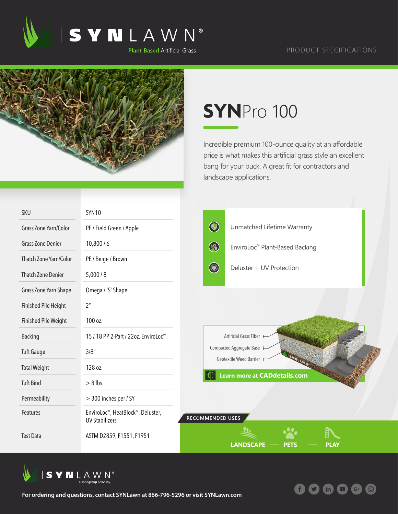

 $(in)$ 



## **SYN**Pro 100

Incredible premium 100-ounce quality at an affordable price is what makes this artificial grass style an excellent bang for your buck. A great fit for contractors and landscape applications.

| <b>SKU</b>                  | <b>SYN10</b>                                                            |                  |                                                     |             |
|-----------------------------|-------------------------------------------------------------------------|------------------|-----------------------------------------------------|-------------|
| Grass Zone Yarn/Color       | PE / Field Green / Apple                                                | $\bigcirc$       | Unmatched Lifetime Warranty                         |             |
| <b>Grass Zone Denier</b>    | 10,800/6                                                                | $\bigcirc$       | EnviroLoc <sup>™</sup> Plant-Based Backing          |             |
| Thatch Zone Yarn/Color      | PE / Beige / Brown                                                      |                  |                                                     |             |
| <b>Thatch Zone Denier</b>   | 5,000/8                                                                 |                  | Deluster + UV Protection                            |             |
| Grass Zone Yarn Shape       | Omega / 'S' Shape                                                       |                  |                                                     |             |
| <b>Finished Pile Height</b> | 2 <sup>n</sup>                                                          |                  |                                                     |             |
| <b>Finished Pile Weight</b> | 100 oz.                                                                 |                  |                                                     |             |
| <b>Backing</b>              | 15 / 18 PP 2-Part / 22oz. EnviroLoc <sup>™</sup>                        |                  | Artificial Grass Fiber                              |             |
| <b>Tuft Gauge</b>           | 3/8''                                                                   |                  | Compacted Aggregate Base<br>Geotextile Weed Barrier |             |
| <b>Total Weight</b>         | 128 oz.                                                                 |                  |                                                     |             |
| <b>Tuft Bind</b>            | $> 8$ lbs.                                                              |                  | <b>Learn more at CADdetails.com</b>                 |             |
| Permeability                | > 300 inches per / SY                                                   |                  |                                                     |             |
| Features                    | EnviroLoc <sup>™</sup> , HeatBlock™, Deluster,<br><b>UV Stabilizers</b> | RECOMMENDED USES |                                                     |             |
| <b>Test Data</b>            | ASTM D2859, F1551, F1951                                                |                  | <b>LANDSCAPE</b><br><b>PETS</b>                     | <b>PLAY</b> |



**For ordering and questions, contact SYNLawn at 866-796-5296 or visit SYNLawn.com**